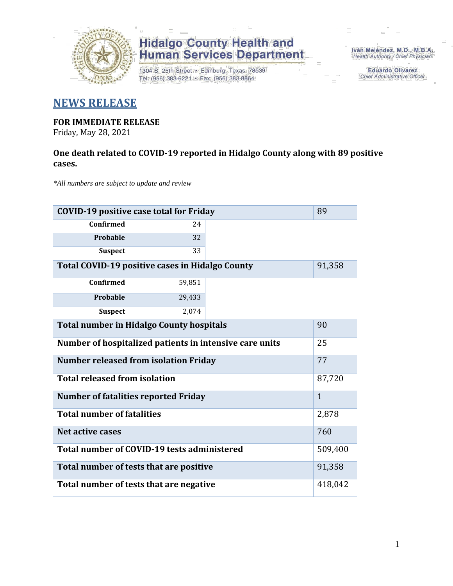

# **Hidalgo County Health and<br>Human Services Department**

1304 S. 25th Street · Edinburg, Texas 78539 Tel: (956) 383-6221 · Fax: (956) 383-8864

Iván Meléndez, M.D., M.B.A. Health Authority / Chief Physician

> **Eduardo Olivarez** Chief Administrative Officer

### **NEWS RELEASE**

### **FOR IMMEDIATE RELEASE**

Friday, May 28, 2021

#### **One death related to COVID-19 reported in Hidalgo County along with 89 positive cases.**

*\*All numbers are subject to update and review*

| <b>COVID-19 positive case total for Friday</b>          | 89           |  |  |  |
|---------------------------------------------------------|--------------|--|--|--|
| Confirmed                                               | 24           |  |  |  |
| Probable                                                | 32           |  |  |  |
| <b>Suspect</b>                                          | 33           |  |  |  |
| <b>Total COVID-19 positive cases in Hidalgo County</b>  | 91,358       |  |  |  |
| <b>Confirmed</b>                                        | 59,851       |  |  |  |
| <b>Probable</b>                                         | 29,433       |  |  |  |
| <b>Suspect</b>                                          | 2,074        |  |  |  |
| <b>Total number in Hidalgo County hospitals</b>         | 90           |  |  |  |
| Number of hospitalized patients in intensive care units | 25           |  |  |  |
| 77<br><b>Number released from isolation Friday</b>      |              |  |  |  |
| <b>Total released from isolation</b>                    | 87,720       |  |  |  |
| <b>Number of fatalities reported Friday</b>             | $\mathbf{1}$ |  |  |  |
| <b>Total number of fatalities</b>                       | 2,878        |  |  |  |
| <b>Net active cases</b>                                 | 760          |  |  |  |
| Total number of COVID-19 tests administered             | 509,400      |  |  |  |
| Total number of tests that are positive                 | 91,358       |  |  |  |
| Total number of tests that are negative                 |              |  |  |  |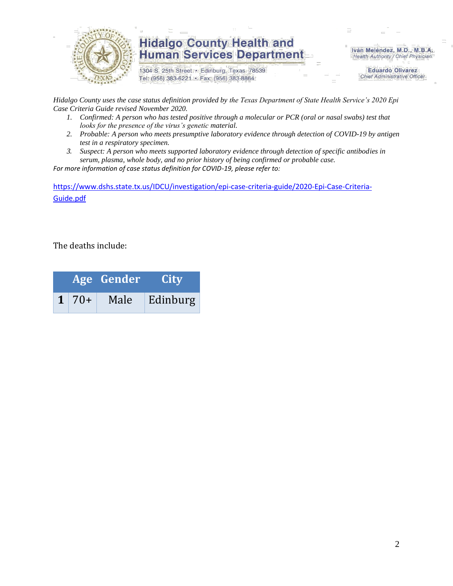

### **Hidalgo County Health and Human Services Department**

1304 S. 25th Street · Edinburg, Texas 78539 Tel: (956) 383-6221 · Fax: (956) 383-8864

Iván Meléndez, M.D., M.B.A. Health Authority / Chief Physician

> **Eduardo Olivarez Chief Administrative Officer**

*Hidalgo County uses the case status definition provided by the Texas Department of State Health Service's 2020 Epi Case Criteria Guide revised November 2020.*

- *1. Confirmed: A person who has tested positive through a molecular or PCR (oral or nasal swabs) test that looks for the presence of the virus's genetic material.*
- *2. Probable: A person who meets presumptive laboratory evidence through detection of COVID-19 by antigen test in a respiratory specimen.*
- *3. Suspect: A person who meets supported laboratory evidence through detection of specific antibodies in serum, plasma, whole body, and no prior history of being confirmed or probable case.*

*For more information of case status definition for COVID-19, please refer to:*

[https://www.dshs.state.tx.us/IDCU/investigation/epi-case-criteria-guide/2020-Epi-Case-Criteria-](https://www.dshs.state.tx.us/IDCU/investigation/epi-case-criteria-guide/2020-Epi-Case-Criteria-Guide.pdf)[Guide.pdf](https://www.dshs.state.tx.us/IDCU/investigation/epi-case-criteria-guide/2020-Epi-Case-Criteria-Guide.pdf)

The deaths include:

|  |              | Age Gender | <b>City</b> |  |  |
|--|--------------|------------|-------------|--|--|
|  | $1 \mid 70+$ | Male       | Edinburg    |  |  |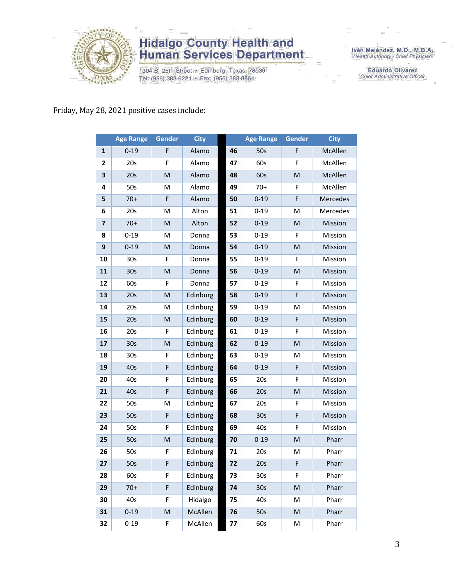

# **Hidalgo County Health and<br>Human Services Department**

1304 S. 25th Street · Edinburg, Texas 78539 Tel: (956) 383-6221 · Fax: (956) 383-8864

Iván Meléndez, M.D., M.B.A.<br>Health Authority / Chief Physician

**Eduardo Olivarez** Chief Administrative Officer

#### Friday, May 28, 2021 positive cases include:

|                         | <b>Age Range</b> | <b>Gender</b> | <b>City</b> |    | <b>Age Range</b> | <b>Gender</b> | <b>City</b> |
|-------------------------|------------------|---------------|-------------|----|------------------|---------------|-------------|
| $\mathbf{1}$            | $0 - 19$         | F             | Alamo       | 46 | 50s              | F             | McAllen     |
| $\mathbf{2}$            | 20s              | F             | Alamo       | 47 | 60s              | F             | McAllen     |
| 3                       | 20s              | M             | Alamo       | 48 | 60s              | M             | McAllen     |
| 4                       | 50s              | M             | Alamo       | 49 | $70+$            | F             | McAllen     |
| 5                       | $70+$            | F             | Alamo       | 50 | $0 - 19$         | F             | Mercedes    |
| 6                       | 20s              | M             | Alton       | 51 | $0 - 19$         | M             | Mercedes    |
| $\overline{\mathbf{z}}$ | $70+$            | M             | Alton       | 52 | $0 - 19$         | M             | Mission     |
| 8                       | $0 - 19$         | м             | Donna       | 53 | $0 - 19$         | F             | Mission     |
| 9                       | $0 - 19$         | M             | Donna       | 54 | $0 - 19$         | M             | Mission     |
| 10                      | 30 <sub>s</sub>  | F             | Donna       | 55 | $0 - 19$         | F             | Mission     |
| 11                      | 30s              | M             | Donna       | 56 | $0 - 19$         | ${\sf M}$     | Mission     |
| 12                      | 60s              | F             | Donna       | 57 | $0 - 19$         | F             | Mission     |
| 13                      | 20s              | M             | Edinburg    | 58 | $0 - 19$         | F             | Mission     |
| 14                      | 20s              | M             | Edinburg    | 59 | $0 - 19$         | M             | Mission     |
| 15                      | 20s              | M             | Edinburg    | 60 | $0 - 19$         | F             | Mission     |
| 16                      | 20s              | F             | Edinburg    | 61 | $0 - 19$         | F             | Mission     |
| 17                      | 30s              | M             | Edinburg    | 62 | $0 - 19$         | M             | Mission     |
| 18                      | 30 <sub>s</sub>  | F             | Edinburg    | 63 | $0 - 19$         | M             | Mission     |
| 19                      | 40s              | F             | Edinburg    | 64 | $0 - 19$         | F             | Mission     |
| 20                      | 40s              | F             | Edinburg    | 65 | 20s              | F             | Mission     |
| 21                      | 40s              | F             | Edinburg    | 66 | 20s              | ${\sf M}$     | Mission     |
| 22                      | 50s              | M             | Edinburg    | 67 | 20s              | F             | Mission     |
| 23                      | 50s              | F             | Edinburg    | 68 | 30 <sub>s</sub>  | F             | Mission     |
| 24                      | 50s              | F             | Edinburg    | 69 | 40s              | F             | Mission     |
| 25                      | 50s              | M             | Edinburg    | 70 | $0 - 19$         | M             | Pharr       |
| 26                      | 50s              | F             | Edinburg    | 71 | 20s              | M             | Pharr       |
| 27                      | 50s              | F             | Edinburg    | 72 | 20s              | F             | Pharr       |
| 28                      | 60s              | F             | Edinburg    | 73 | 30s              | F             | Pharr       |
| 29                      | $70+$            | F             | Edinburg    | 74 | 30 <sub>s</sub>  | ${\sf M}$     | Pharr       |
| 30                      | 40s              | F             | Hidalgo     | 75 | 40s              | M             | Pharr       |
| 31                      | $0 - 19$         | M             | McAllen     | 76 | 50s              | M             | Pharr       |
| 32                      | $0 - 19$         | F             | McAllen     | 77 | 60s              | M             | Pharr       |